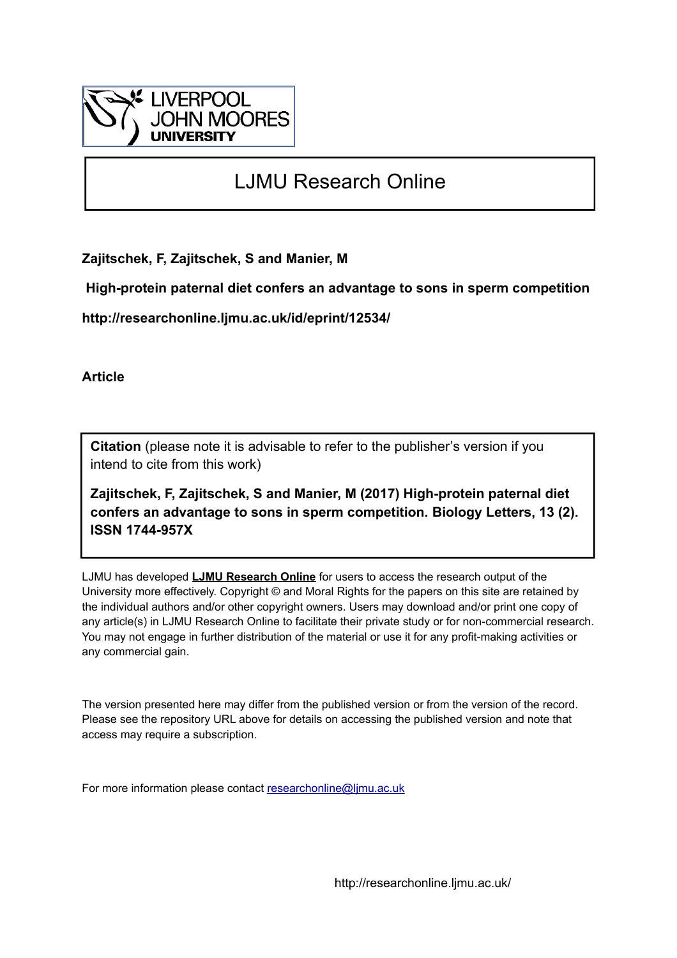

## LJMU Research Online

**Zajitschek, F, Zajitschek, S and Manier, M**

 **High-protein paternal diet confers an advantage to sons in sperm competition**

**http://researchonline.ljmu.ac.uk/id/eprint/12534/**

**Article**

**Citation** (please note it is advisable to refer to the publisher's version if you intend to cite from this work)

**Zajitschek, F, Zajitschek, S and Manier, M (2017) High-protein paternal diet confers an advantage to sons in sperm competition. Biology Letters, 13 (2). ISSN 1744-957X** 

LJMU has developed **[LJMU Research Online](http://researchonline.ljmu.ac.uk/)** for users to access the research output of the University more effectively. Copyright © and Moral Rights for the papers on this site are retained by the individual authors and/or other copyright owners. Users may download and/or print one copy of any article(s) in LJMU Research Online to facilitate their private study or for non-commercial research. You may not engage in further distribution of the material or use it for any profit-making activities or any commercial gain.

The version presented here may differ from the published version or from the version of the record. Please see the repository URL above for details on accessing the published version and note that access may require a subscription.

For more information please contact [researchonline@ljmu.ac.uk](mailto:researchonline@ljmu.ac.uk)

http://researchonline.ljmu.ac.uk/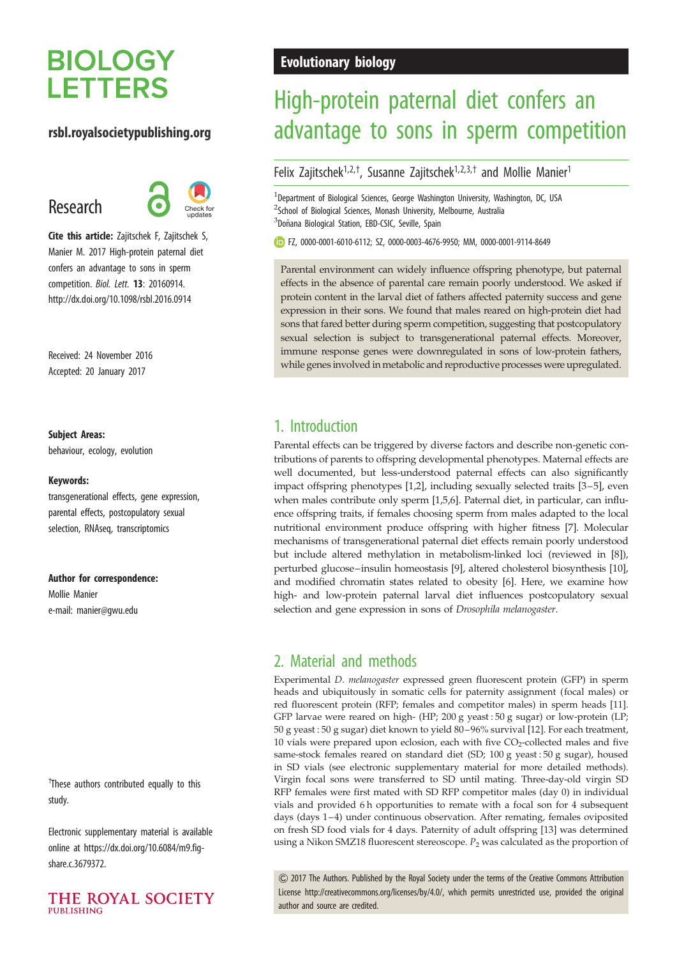# **BIOLOGY LETTERS**

#### rsbl.royalsocietypublishing.org

## Research



Cite this article: Zajitschek F, Zajitschek S, Manier M. 2017 High-protein paternal diet confers an advantage to sons in sperm competition. Biol. Lett. 13: 20160914. http://dx.doi.org/10.1098/rsbl.2016.0914

Received: 24 November 2016 Accepted: 20 January 2017

#### Subject Areas:

behaviour, ecology, evolution

#### Keywords:

transgenerational effects, gene expression, parental effects, postcopulatory sexual selection, RNAseq, transcriptomics

#### Author for correspondence:

Mollie Manier e-mail: [manier@gwu.edu](mailto:manier@gwu.edu)

<sup>†</sup>These authors contributed equally to this study.

Electronic supplementary material is available online at [https://dx.doi.org/10.6084/m9.fig](https://dx.doi.org/10.6084/m9.figshare.c.3679372)[share.c.3679372.](https://dx.doi.org/10.6084/m9.figshare.c.3679372)



### Evolutionary biology

# High-protein paternal diet confers an advantage to sons in sperm competition

Felix Zajitschek<sup>1,2,†</sup>, Susanne Zajitschek<sup>1,2,3,†</sup> and Mollie Manier<sup>1</sup>

<sup>1</sup>Department of Biological Sciences, George Washington University, Washington, DC, USA <sup>2</sup>School of Biological Sciences, Monash University, Melbourne, Australia <sup>3</sup>Doñana Biological Station, EBD-CSIC, Seville, Spain

FZ, [0000-0001-6010-6112;](http://orcid.org/0000-0001-6010-6112) SZ, [0000-0003-4676-9950;](http://orcid.org/0000-0003-4676-9950) MM, [0000-0001-9114-8649](http://orcid.org/0000-0001-9114-8649)

Parental environment can widely influence offspring phenotype, but paternal effects in the absence of parental care remain poorly understood. We asked if protein content in the larval diet of fathers affected paternity success and gene expression in their sons. We found that males reared on high-protein diet had sons that fared better during sperm competition, suggesting that postcopulatory sexual selection is subject to transgenerational paternal effects. Moreover, immune response genes were downregulated in sons of low-protein fathers, while genes involved in metabolic and reproductive processes were upregulated.

## 1. Introduction

Parental effects can be triggered by diverse factors and describe non-genetic contributions of parents to offspring developmental phenotypes. Maternal effects are well documented, but less-understood paternal effects can also significantly impact offspring phenotypes [\[1,2](#page-4-0)], including sexually selected traits [\[3](#page-4-0)–[5\]](#page-4-0), even when males contribute only sperm [\[1,5,6](#page-4-0)]. Paternal diet, in particular, can influence offspring traits, if females choosing sperm from males adapted to the local nutritional environment produce offspring with higher fitness [[7](#page-4-0)]. Molecular mechanisms of transgenerational paternal diet effects remain poorly understood but include altered methylation in metabolism-linked loci (reviewed in [\[8\]](#page-4-0)), perturbed glucose–insulin homeostasis [[9](#page-4-0)], altered cholesterol biosynthesis [[10\]](#page-4-0), and modified chromatin states related to obesity [[6](#page-4-0)]. Here, we examine how high- and low-protein paternal larval diet influences postcopulatory sexual selection and gene expression in sons of Drosophila melanogaster.

## 2. Material and methods

Experimental D. melanogaster expressed green fluorescent protein (GFP) in sperm heads and ubiquitously in somatic cells for paternity assignment (focal males) or red fluorescent protein (RFP; females and competitor males) in sperm heads [\[11\]](#page-4-0). GFP larvae were reared on high- (HP; 200 g yeast : 50 g sugar) or low-protein (LP; 50 g yeast : 50 g sugar) diet known to yield 80 – 96% survival [[12](#page-4-0)]. For each treatment, 10 vials were prepared upon eclosion, each with five  $CO_2$ -collected males and five same-stock females reared on standard diet (SD; 100 g yeast : 50 g sugar), housed in SD vials (see electronic supplementary material for more detailed methods). Virgin focal sons were transferred to SD until mating. Three-day-old virgin SD RFP females were first mated with SD RFP competitor males (day 0) in individual vials and provided 6 h opportunities to remate with a focal son for 4 subsequent days (days  $1-4$ ) under continuous observation. After remating, females oviposited on fresh SD food vials for 4 days. Paternity of adult offspring [\[13\]](#page-4-0) was determined using a Nikon SMZ18 fluorescent stereoscope.  $P_2$  was calculated as the proportion of

& 2017 The Authors. Published by the Royal Society under the terms of the Creative Commons Attribution License [http://creativecommons.org/licenses/by/4.0/, which permits unrestricted use, provided the original](http://creativecommons.org/licenses/by/4.0/) [author and source are credited.](http://creativecommons.org/licenses/by/4.0/)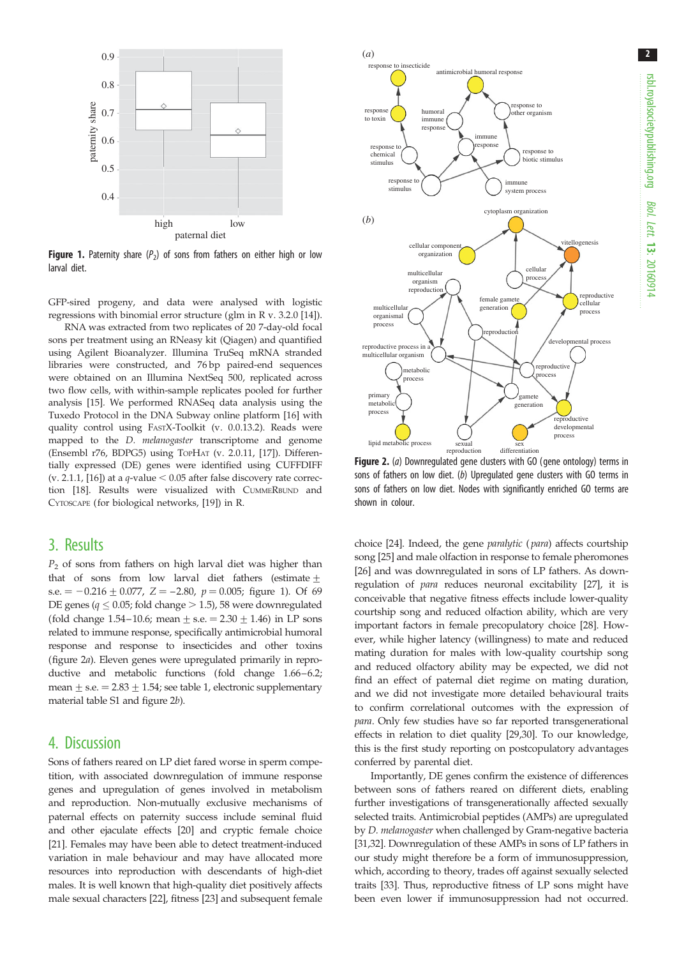2



**Figure 1.** Paternity share ( $P_2$ ) of sons from fathers on either high or low larval diet.

GFP-sired progeny, and data were analysed with logistic regressions with binomial error structure (glm in R v. 3.2.0 [\[14\]](#page-4-0)).

RNA was extracted from two replicates of 20 7-day-old focal sons per treatment using an RNeasy kit (Qiagen) and quantified using Agilent Bioanalyzer. Illumina TruSeq mRNA stranded libraries were constructed, and 76 bp paired-end sequences were obtained on an Illumina NextSeq 500, replicated across two flow cells, with within-sample replicates pooled for further analysis [\[15\]](#page-4-0). We performed RNASeq data analysis using the Tuxedo Protocol in the DNA Subway online platform [\[16\]](#page-4-0) with quality control using FASTX-Toolkit (v. 0.0.13.2). Reads were mapped to the *D. melanogaster* transcriptome and genome (Ensembl r76, BDPG5) using TOPHAT (v. 2.0.11, [[17](#page-4-0)]). Differentially expressed (DE) genes were identified using CUFFDIFF (v. 2.1.1, [[16](#page-4-0)]) at a  $q$ -value  $< 0.05$  after false discovery rate correction [[18](#page-4-0)]. Results were visualized with CUMMERBUND and CYTOSCAPE (for biological networks, [[19](#page-4-0)]) in R.

#### 3. Results

 $P_2$  of sons from fathers on high larval diet was higher than that of sons from low larval diet fathers (estimate  $+$ s.e.  $= -0.216 \pm 0.077$ ,  $Z = -2.80$ ,  $p = 0.005$ ; figure 1). Of 69 DE genes ( $q \le 0.05$ ; fold change  $> 1.5$ ), 58 were downregulated (fold change 1.54–10.6; mean  $+$  s.e.  $= 2.30 + 1.46$ ) in LP sons related to immune response, specifically antimicrobial humoral response and response to insecticides and other toxins (figure 2a). Eleven genes were upregulated primarily in reproductive and metabolic functions (fold change 1.66–6.2; mean  $\pm$  s.e.  $= 2.83 + 1.54$ ; see [table 1](#page-3-0), electronic supplementary material table S1 and figure 2b).

#### 4. Discussion

Sons of fathers reared on LP diet fared worse in sperm competition, with associated downregulation of immune response genes and upregulation of genes involved in metabolism and reproduction. Non-mutually exclusive mechanisms of paternal effects on paternity success include seminal fluid and other ejaculate effects [\[20\]](#page-4-0) and cryptic female choice [\[21](#page-4-0)]. Females may have been able to detect treatment-induced variation in male behaviour and may have allocated more resources into reproduction with descendants of high-diet males. It is well known that high-quality diet positively affects male sexual characters [\[22\]](#page-4-0), fitness [\[23](#page-5-0)] and subsequent female



Figure 2. (a) Downregulated gene clusters with GO (gene ontology) terms in sons of fathers on low diet. (b) Upregulated gene clusters with GO terms in sons of fathers on low diet. Nodes with significantly enriched GO terms are shown in colour.

choice [\[24\]](#page-5-0). Indeed, the gene paralytic ( para) affects courtship song [\[25\]](#page-5-0) and male olfaction in response to female pheromones [[26](#page-5-0)] and was downregulated in sons of LP fathers. As downregulation of para reduces neuronal excitability [\[27](#page-5-0)], it is conceivable that negative fitness effects include lower-quality courtship song and reduced olfaction ability, which are very important factors in female precopulatory choice [\[28\]](#page-5-0). However, while higher latency (willingness) to mate and reduced mating duration for males with low-quality courtship song and reduced olfactory ability may be expected, we did not find an effect of paternal diet regime on mating duration, and we did not investigate more detailed behavioural traits to confirm correlational outcomes with the expression of para. Only few studies have so far reported transgenerational effects in relation to diet quality [\[29,30\]](#page-5-0). To our knowledge, this is the first study reporting on postcopulatory advantages conferred by parental diet.

Importantly, DE genes confirm the existence of differences between sons of fathers reared on different diets, enabling further investigations of transgenerationally affected sexually selected traits. Antimicrobial peptides (AMPs) are upregulated by D. melanogaster when challenged by Gram-negative bacteria [[31](#page-5-0),[32](#page-5-0)]. Downregulation of these AMPs in sons of LP fathers in our study might therefore be a form of immunosuppression, which, according to theory, trades off against sexually selected traits [[33](#page-5-0)]. Thus, reproductive fitness of LP sons might have been even lower if immunosuppression had not occurred.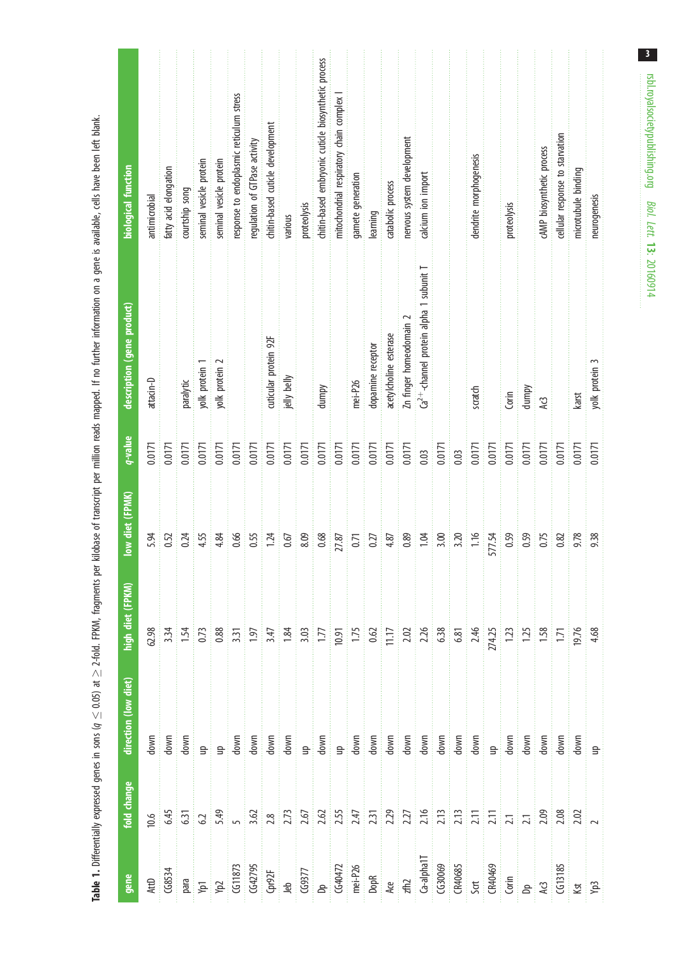<span id="page-3-0"></span>

| biological function        | antimicrobial | fatty acid elongation | courtship song | seminal vesicle protein | seminal vesicle protein                                                                                                                                                                                                                                                                                             | response to endoplasmic reticulum stress | regulation of GTPase activity | chitin-based cuticle development | various     | proteolysis | diitin-based embryonic cutide biosynthetic process | mitochondrial respiratory chain complex | gamete generation | learning          | catabolic process      | nervous system development | calcium ion import                         |        |      | dendrite morphogenesis |        | proteolysis |        | cAMP biosynthetic process | cellular response to starvation | microtubule binding | neurogenesis   |
|----------------------------|---------------|-----------------------|----------------|-------------------------|---------------------------------------------------------------------------------------------------------------------------------------------------------------------------------------------------------------------------------------------------------------------------------------------------------------------|------------------------------------------|-------------------------------|----------------------------------|-------------|-------------|----------------------------------------------------|-----------------------------------------|-------------------|-------------------|------------------------|----------------------------|--------------------------------------------|--------|------|------------------------|--------|-------------|--------|---------------------------|---------------------------------|---------------------|----------------|
| description (gene product) | attacin-D     |                       | paralytic      | yolk protein 1          | yolk protein 2                                                                                                                                                                                                                                                                                                      |                                          |                               | cuticular protein 92F            | jelly belly |             | dumpy                                              |                                         | mei-P26           | dopamine receptor | acetylcholine esterase | Zn finger homeodomain 2    | $Ca^{2+}-$ channel protein alpha 1 subunit |        |      | scratch                |        | Corin       | dumpy  | AG                        |                                 | karst               | yolk protein 3 |
| q-value                    | 0.0171        | 0.0171                | 0.0171         | 0.0171                  | 0.0171                                                                                                                                                                                                                                                                                                              | 0.0171                                   | 0.0171                        | 0.0171                           | 0.0171      | 0.0171      | 0.0171                                             | 0.0171                                  | 0.0171            | 0.0171            | 0.0171                 | 0.0171                     | 0.03                                       | 0.0171 | 0.03 | 0.0171                 | 0.0171 | 0.0171      | 0.0171 | 0.0171                    | 0.0171                          | 0.0171              | 0.0171         |
| low diet (FPMK)            | 5.94          | 0.52                  | 0.24           | 4.55                    | 4.84                                                                                                                                                                                                                                                                                                                | 0.66                                     | 0.55                          | 1.24                             | 0.67        | 8.09        | 0.68                                               | 27.87                                   | 0.71              | 0.27              | 4.87                   | 0.89                       | 1.04                                       | 3.00   | 3.20 | 1.16                   | 577.54 | 0.59        | 0.59   | 0.75                      | 0.82                            | 9.78                | 9.38           |
| high diet (FPKM)           |               |                       |                |                         | $\frac{1}{2}$ $\frac{1}{2}$ $\frac{1}{2}$ $\frac{1}{2}$ $\frac{1}{2}$ $\frac{1}{2}$ $\frac{1}{2}$ $\frac{1}{2}$ $\frac{1}{2}$ $\frac{1}{2}$ $\frac{1}{2}$ $\frac{1}{2}$ $\frac{1}{2}$ $\frac{1}{2}$ $\frac{1}{2}$ $\frac{1}{2}$ $\frac{1}{2}$ $\frac{1}{2}$ $\frac{1}{2}$ $\frac{1}{2}$ $\frac{1}{2}$ $\frac{1}{2}$ |                                          |                               |                                  |             |             |                                                    |                                         |                   |                   |                        |                            |                                            |        |      |                        |        |             |        |                           |                                 |                     |                |
| direction (low diet)       |               | down<br>down          |                |                         |                                                                                                                                                                                                                                                                                                                     |                                          |                               |                                  |             |             |                                                    |                                         |                   |                   |                        |                            |                                            |        |      |                        |        |             |        |                           |                                 |                     |                |
| fold change                | 0.6           |                       |                |                         |                                                                                                                                                                                                                                                                                                                     |                                          |                               |                                  |             |             |                                                    |                                         |                   |                   |                        |                            |                                            |        |      |                        |        |             |        |                           |                                 |                     |                |
| gene                       |               |                       |                |                         | Atte dessays<br>Bara (5 (43795)<br>CG11873<br>CG11873<br>CG40795<br>CG40795<br>CG40795<br>CG40795<br>CG40795<br>CG40795<br>CG40795<br>CG40795<br>CG40795<br>CG40795<br>CG40795<br>CG407795<br>CG407795<br>CG407795<br>CG407795<br>CG407795<br>CG407795<br>CG407795<br>CG4                                           |                                          |                               |                                  |             |             |                                                    |                                         |                   |                   |                        |                            |                                            |        |      |                        |        |             |        |                           |                                 |                     |                |

Table 1. Differentially expressed genes in sons ( $q \leq 0.05$ ) at  $\geq$  2-fold. FPKM, fragments per kilobase of transcript per million reads mapped. If no further information on a gene is available, cells have been left bl  $\leq$  0.05) at  $\geq$  2-fold. FPKM, fragments per kilobase of transcript per million reads mapped. If no further information on a gene is available, cells have been left blank. **Table 1.** Differentially expressed genes in sons ( $q \leq$ 

 $\overline{\mathbf{3}}$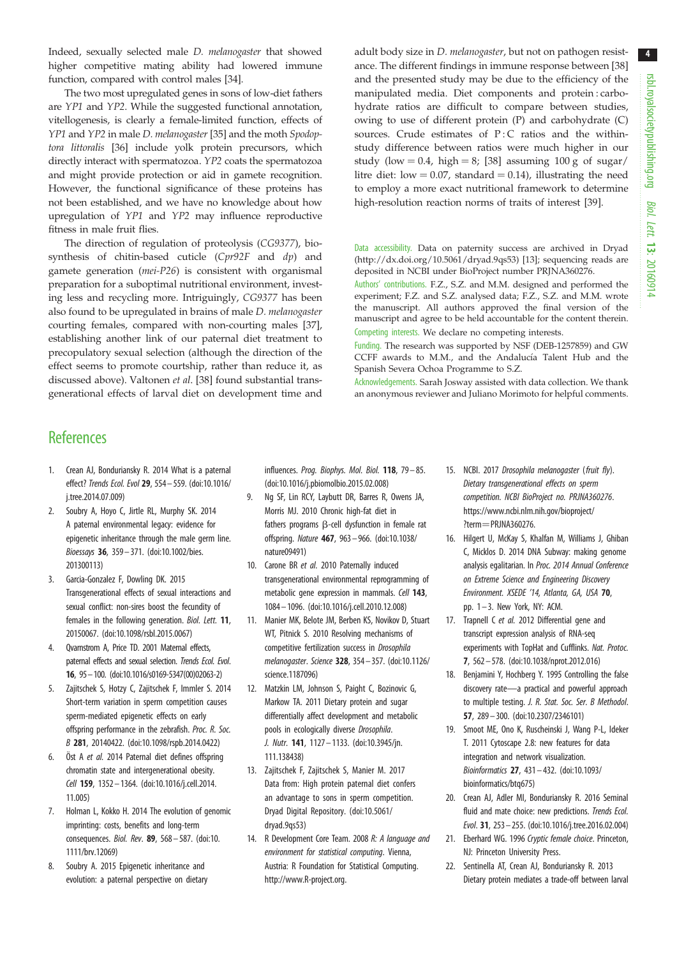4

<span id="page-4-0"></span>Indeed, sexually selected male D. melanogaster that showed higher competitive mating ability had lowered immune function, compared with control males [\[34](#page-5-0)].

The two most upregulated genes in sons of low-diet fathers are YP1 and YP2. While the suggested functional annotation, vitellogenesis, is clearly a female-limited function, effects of YP1 and YP2 in male D. melanogaster [[35](#page-5-0)] and the moth Spodoptora littoralis [\[36\]](#page-5-0) include yolk protein precursors, which directly interact with spermatozoa. YP2 coats the spermatozoa and might provide protection or aid in gamete recognition. However, the functional significance of these proteins has not been established, and we have no knowledge about how upregulation of YP1 and YP2 may influence reproductive fitness in male fruit flies.

The direction of regulation of proteolysis (CG9377), biosynthesis of chitin-based cuticle (Cpr92F and dp) and gamete generation (mei-P26) is consistent with organismal preparation for a suboptimal nutritional environment, investing less and recycling more. Intriguingly, CG9377 has been also found to be upregulated in brains of male D. melanogaster courting females, compared with non-courting males [\[37](#page-5-0)], establishing another link of our paternal diet treatment to precopulatory sexual selection (although the direction of the effect seems to promote courtship, rather than reduce it, as discussed above). Valtonen et al. [\[38](#page-5-0)] found substantial transgenerational effects of larval diet on development time and adult body size in D. melanogaster, but not on pathogen resistance. The different findings in immune response between [[38\]](#page-5-0) and the presented study may be due to the efficiency of the manipulated media. Diet components and protein : carbohydrate ratios are difficult to compare between studies, owing to use of different protein (P) and carbohydrate (C) sources. Crude estimates of  $P:C$  ratios and the withinstudy difference between ratios were much higher in our study (low = 0.4, high = 8; [\[38](#page-5-0)] assuming 100 g of sugar/ litre diet: low  $= 0.07$ , standard  $= 0.14$ ), illustrating the need to employ a more exact nutritional framework to determine high-resolution reaction norms of traits of interest [[39\]](#page-5-0).

Data accessibility. Data on paternity success are archived in Dryad [\(http://dx.doi.org/10.5061/dryad.9qs53\)](http://dx.doi.org/10.5061/dryad.9qs53) [13]; sequencing reads are deposited in NCBI under BioProject number PRJNA360276.

Authors' contributions. F.Z., S.Z. and M.M. designed and performed the experiment; F.Z. and S.Z. analysed data; F.Z., S.Z. and M.M. wrote the manuscript. All authors approved the final version of the manuscript and agree to be held accountable for the content therein. Competing interests. We declare no competing interests.

Funding. The research was supported by NSF (DEB-1257859) and GW CCFF awards to M.M., and the Andalucía Talent Hub and the Spanish Severa Ochoa Programme to S.Z.

Acknowledgements. Sarah Josway assisted with data collection. We thank an anonymous reviewer and Juliano Morimoto for helpful comments.

#### **References**

- 1. Crean AJ, Bonduriansky R. 2014 What is a paternal effect? Trends Ecol. Evol 29, 554– 559. ([doi:10.1016/](http://dx.doi.org/10.1016/j.tree.2014.07.009) [j.tree.2014.07.009](http://dx.doi.org/10.1016/j.tree.2014.07.009))
- 2. Soubry A, Hoyo C, Jirtle RL, Murphy SK. 2014 A paternal environmental legacy: evidence for epigenetic inheritance through the male germ line. Bioessays 36, 359– 371. ([doi:10.1002/bies.](http://dx.doi.org/10.1002/bies.201300113) [201300113](http://dx.doi.org/10.1002/bies.201300113))
- 3. Garcia-Gonzalez F, Dowling DK. 2015 Transgenerational effects of sexual interactions and sexual conflict: non-sires boost the fecundity of females in the following generation. Biol. Lett. 11, 20150067. [\(doi:10.1098/rsbl.2015.0067\)](http://dx.doi.org/10.1098/rsbl.2015.0067)
- 4. Qvarnstrom A, Price TD. 2001 Maternal effects, paternal effects and sexual selection. Trends Ecol. Evol. 16, 95–100. [\(doi:10.1016/s0169-5347\(00\)02063-2](http://dx.doi.org/10.1016/s0169-5347(00)02063-2))
- 5. Zajitschek S, Hotzy C, Zajitschek F, Immler S. 2014 Short-term variation in sperm competition causes sperm-mediated epigenetic effects on early offspring performance in the zebrafish. Proc. R. Soc. B 281, 20140422. ([doi:10.1098/rspb.2014.0422](http://dx.doi.org/10.1098/rspb.2014.0422))
- 6. Öst A et al. 2014 Paternal diet defines offspring chromatin state and intergenerational obesity. Cell 159, 1352– 1364. [\(doi:10.1016/j.cell.2014.](http://dx.doi.org/10.1016/j.cell.2014.11.005) [11.005\)](http://dx.doi.org/10.1016/j.cell.2014.11.005)
- 7. Holman L, Kokko H. 2014 The evolution of genomic imprinting: costs, benefits and long-term consequences. Biol. Rev. 89, 568 – 587. ([doi:10.](http://dx.doi.org/10.1111/brv.12069) [1111/brv.12069](http://dx.doi.org/10.1111/brv.12069))
- 8. Soubry A. 2015 Epigenetic inheritance and evolution: a paternal perspective on dietary

influences. Prog. Biophys. Mol. Biol. 118, 79 – 85. [\(doi:10.1016/j.pbiomolbio.2015.02.008\)](http://dx.doi.org/10.1016/j.pbiomolbio.2015.02.008)

- 9. Ng SF, Lin RCY, Laybutt DR, Barres R, Owens JA, Morris MJ. 2010 Chronic high-fat diet in fathers programs  $\beta$ -cell dysfunction in female rat offspring. Nature 467, 963 – 966. [\(doi:10.1038/](http://dx.doi.org/10.1038/nature09491) [nature09491](http://dx.doi.org/10.1038/nature09491))
- 10. Carone BR et al. 2010 Paternally induced transgenerational environmental reprogramming of metabolic gene expression in mammals. Cell 143, 1084 – 1096. [\(doi:10.1016/j.cell.2010.12.008\)](http://dx.doi.org/10.1016/j.cell.2010.12.008)
- 11. Manier MK, Belote JM, Berben KS, Novikov D, Stuart WT, Pitnick S. 2010 Resolving mechanisms of competitive fertilization success in Drosophila melanogaster. Science 328, 354 – 357. [\(doi:10.1126/](http://dx.doi.org/10.1126/science.1187096) [science.1187096\)](http://dx.doi.org/10.1126/science.1187096)
- 12. Matzkin LM, Johnson S, Paight C, Bozinovic G, Markow TA. 2011 Dietary protein and sugar differentially affect development and metabolic pools in ecologically diverse Drosophila. J. Nutr. 141, 1127 – 1133. ([doi:10.3945/jn.](http://dx.doi.org/10.3945/jn.111.138438) [111.138438\)](http://dx.doi.org/10.3945/jn.111.138438)
- 13. Zajitschek F, Zajitschek S, Manier M. 2017 Data from: High protein paternal diet confers an advantage to sons in sperm competition. Dryad Digital Repository. ([doi:10.5061/](http://dx.doi.org/10.5061/dryad.9qs53) [dryad.9qs53](http://dx.doi.org/10.5061/dryad.9qs53))
- 14. R Development Core Team. 2008 R: A language and environment for statistical computing. Vienna, Austria: R Foundation for Statistical Computing. <http://www.R-project.org>.
- 15. NCBI. 2017 Drosophila melanogaster (fruit fly). Dietary transgenerational effects on sperm competition. NCBI BioProject no. PRJNA360276. [https://www.ncbi.nlm.nih.gov/bioproject/](https://www.ncbi.nlm.nih.gov/bioproject/?term=PRJNA360276) [?term](https://www.ncbi.nlm.nih.gov/bioproject/?term=PRJNA360276)=[PRJNA360276](https://www.ncbi.nlm.nih.gov/bioproject/?term=PRJNA360276).
- 16. Hilgert U, McKay S, Khalfan M, Williams J, Ghiban C, Micklos D. 2014 DNA Subway: making genome analysis egalitarian. In Proc. 2014 Annual Conference on Extreme Science and Engineering Discovery Environment. XSEDE '14, Atlanta, GA, USA 70, pp. 1– 3. New York, NY: ACM.
- 17. Trapnell C et al. 2012 Differential gene and transcript expression analysis of RNA-seq experiments with TopHat and Cufflinks. Nat. Protoc. 7, 562 – 578. ([doi:10.1038/nprot.2012.016\)](http://dx.doi.org/10.1038/nprot.2012.016)
- 18. Benjamini Y, Hochberg Y. 1995 Controlling the false discovery rate—a practical and powerful approach to multiple testing. J. R. Stat. Soc. Ser. B Methodol. 57, 289 – 300. [\(doi:10.2307/2346101\)](http://dx.doi.org/10.2307/2346101)
- 19. Smoot ME, Ono K, Ruscheinski J, Wang P-L, Ideker T. 2011 Cytoscape 2.8: new features for data integration and network visualization. Bioinformatics 27, 431– 432. ([doi:10.1093/](http://dx.doi.org/10.1093/bioinformatics/btq675) [bioinformatics/btq675](http://dx.doi.org/10.1093/bioinformatics/btq675))
- 20. Crean AJ, Adler MI, Bonduriansky R. 2016 Seminal fluid and mate choice: new predictions. Trends Ecol. Evol. 31, 253– 255. ([doi:10.1016/j.tree.2016.02.004](http://dx.doi.org/10.1016/j.tree.2016.02.004))
- 21. Eberhard WG. 1996 Cryptic female choice. Princeton, NJ: Princeton University Press.
- 22. Sentinella AT, Crean AJ, Bonduriansky R. 2013 Dietary protein mediates a trade-off between larval